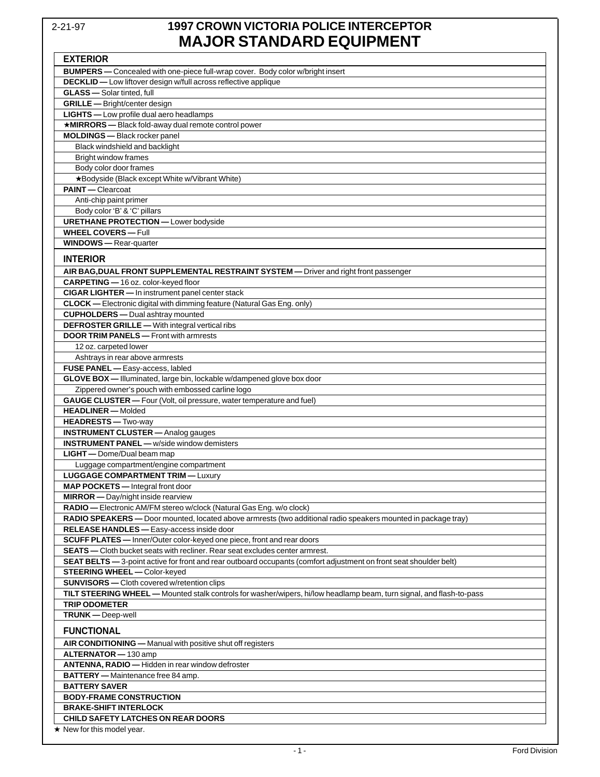## 2-21-97 **1997 CROWN VICTORIA POLICE INTERCEPTOR MAJOR STANDARD EQUIPMENT**

| <b>EXTERIOR</b>                                                                                                      |
|----------------------------------------------------------------------------------------------------------------------|
| <b>BUMPERS</b> — Concealed with one-piece full-wrap cover. Body color w/bright insert                                |
| DECKLID - Low liftover design w/full across reflective applique                                                      |
| <b>GLASS</b> - Solar tinted, full                                                                                    |
| <b>GRILLE</b> - Bright/center design                                                                                 |
| LIGHTS - Low profile dual aero headlamps                                                                             |
| *MIRRORS-Black fold-away dual remote control power                                                                   |
| <b>MOLDINGS</b> - Black rocker panel                                                                                 |
| Black windshield and backlight                                                                                       |
| Bright window frames                                                                                                 |
| Body color door frames                                                                                               |
| *Bodyside (Black except White w/Vibrant White)                                                                       |
| <b>PAINT</b> - Clearcoat                                                                                             |
| Anti-chip paint primer                                                                                               |
| Body color 'B' & 'C' pillars                                                                                         |
| <b>URETHANE PROTECTION - Lower bodyside</b>                                                                          |
| <b>WHEEL COVERS - Full</b>                                                                                           |
| <b>WINDOWS</b> - Rear-quarter                                                                                        |
|                                                                                                                      |
| <b>INTERIOR</b>                                                                                                      |
| AIR BAG, DUAL FRONT SUPPLEMENTAL RESTRAINT SYSTEM — Driver and right front passenger                                 |
| CARPETING - 16 oz. color-keyed floor                                                                                 |
| CIGAR LIGHTER - In instrument panel center stack                                                                     |
| <b>CLOCK</b> - Electronic digital with dimming feature (Natural Gas Eng. only)                                       |
| <b>CUPHOLDERS</b> - Dual ashtray mounted                                                                             |
| <b>DEFROSTER GRILLE</b> - With integral vertical ribs                                                                |
| <b>DOOR TRIM PANELS</b> - Front with armrests                                                                        |
| 12 oz. carpeted lower                                                                                                |
| Ashtrays in rear above armrests                                                                                      |
| FUSE PANEL - Easy-access, labled                                                                                     |
| GLOVE BOX - Illuminated, large bin, lockable w/dampened glove box door                                               |
| Zippered owner's pouch with embossed carline logo                                                                    |
| <b>GAUGE CLUSTER</b> - Four (Volt, oil pressure, water temperature and fuel)                                         |
| <b>HEADLINER</b> - Molded                                                                                            |
| HEADRESTS - Two-way                                                                                                  |
| <b>INSTRUMENT CLUSTER</b> - Analog gauges                                                                            |
| <b>INSTRUMENT PANEL - w/side window demisters</b>                                                                    |
| LIGHT - Dome/Dual beam map                                                                                           |
| Luggage compartment/engine compartment                                                                               |
| <b>LUGGAGE COMPARTMENT TRIM - Luxury</b>                                                                             |
| <b>MAP POCKETS</b> — Integral front door                                                                             |
| <b>MIRROR</b> - Day/night inside rearview                                                                            |
| RADIO — Electronic AM/FM stereo w/clock (Natural Gas Eng. w/o clock)                                                 |
| RADIO SPEAKERS - Door mounted, located above armrests (two additional radio speakers mounted in package tray)        |
| RELEASE HANDLES - Easy-access inside door                                                                            |
| SCUFF PLATES - Inner/Outer color-keyed one piece, front and rear doors                                               |
| SEATS - Cloth bucket seats with recliner. Rear seat excludes center armrest.                                         |
| SEAT BELTS - 3-point active for front and rear outboard occupants (comfort adjustment on front seat shoulder belt)   |
| <b>STEERING WHEEL - Color-keyed</b>                                                                                  |
| <b>SUNVISORS</b> - Cloth covered w/retention clips                                                                   |
| TILT STEERING WHEEL - Mounted stalk controls for washer/wipers, hi/low headlamp beam, turn signal, and flash-to-pass |
| <b>TRIP ODOMETER</b>                                                                                                 |
| TRUNK - Deep-well                                                                                                    |
| <b>FUNCTIONAL</b>                                                                                                    |
| AIR CONDITIONING - Manual with positive shut off registers                                                           |
| ALTERNATOR - 130 amp                                                                                                 |
| ANTENNA, RADIO - Hidden in rear window defroster                                                                     |
| <b>BATTERY</b> - Maintenance free 84 amp.                                                                            |
| <b>BATTERY SAVER</b>                                                                                                 |
| <b>BODY-FRAME CONSTRUCTION</b>                                                                                       |
| <b>BRAKE-SHIFT INTERLOCK</b>                                                                                         |
| CHILD SAFETY LATCHES ON REAR DOORS                                                                                   |
| $\star$ New for this model year.                                                                                     |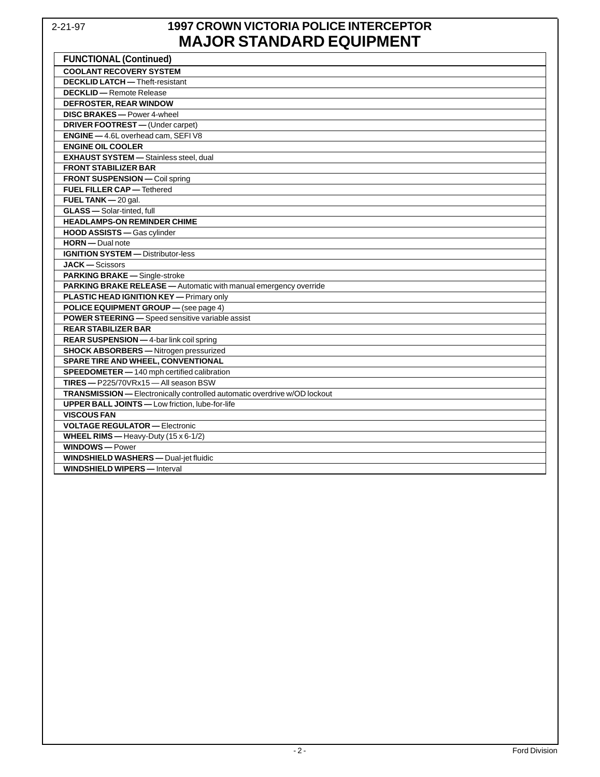## 2-21-97 **1997 CROWN VICTORIA POLICE INTERCEPTOR MAJOR STANDARD EQUIPMENT**

| <b>FUNCTIONAL (Continued)</b>                                             |
|---------------------------------------------------------------------------|
| <b>COOLANT RECOVERY SYSTEM</b>                                            |
| <b>DECKLID LATCH</b> - Theft-resistant                                    |
| <b>DECKLID</b> - Remote Release                                           |
| <b>DEFROSTER, REAR WINDOW</b>                                             |
| <b>DISC BRAKES</b> - Power 4-wheel                                        |
| DRIVER FOOTREST - (Under carpet)                                          |
| ENGINE - 4.6L overhead cam, SEFI V8                                       |
| <b>ENGINE OIL COOLER</b>                                                  |
| <b>EXHAUST SYSTEM</b> - Stainless steel, dual                             |
| <b>FRONT STABILIZER BAR</b>                                               |
| FRONT SUSPENSION - Coil spring                                            |
| <b>FUEL FILLER CAP - Tethered</b>                                         |
| FUEL TANK $-$ 20 gal.                                                     |
| <b>GLASS</b> - Solar-tinted, full                                         |
| <b>HEADLAMPS-ON REMINDER CHIME</b>                                        |
| HOOD ASSISTS - Gas cylinder                                               |
| $HORN - Dual note$                                                        |
| <b>IGNITION SYSTEM - Distributor-less</b>                                 |
| <b>JACK</b> - Scissors                                                    |
| PARKING BRAKE - Single-stroke                                             |
| PARKING BRAKE RELEASE - Automatic with manual emergency override          |
| <b>PLASTIC HEAD IGNITION KEY - Primary only</b>                           |
| POLICE EQUIPMENT GROUP - (see page 4)                                     |
| <b>POWER STEERING</b> - Speed sensitive variable assist                   |
| <b>REAR STABILIZER BAR</b>                                                |
| REAR SUSPENSION - 4-bar link coil spring                                  |
| <b>SHOCK ABSORBERS</b> - Nitrogen pressurized                             |
| <b>SPARE TIRE AND WHEEL, CONVENTIONAL</b>                                 |
| SPEEDOMETER - 140 mph certified calibration                               |
| TIRES-P225/70VRx15-All season BSW                                         |
| TRANSMISSION - Electronically controlled automatic overdrive w/OD lockout |
| <b>UPPER BALL JOINTS</b> - Low friction, lube-for-life                    |
| <b>VISCOUS FAN</b>                                                        |
| <b>VOLTAGE REGULATOR - Electronic</b>                                     |
| WHEEL RIMS - Heavy-Duty (15 x 6-1/2)                                      |
| <b>WINDOWS-Power</b>                                                      |
| <b>WINDSHIELD WASHERS</b> - Dual-jet fluidic                              |
| <b>WINDSHIELD WIPERS</b> - Interval                                       |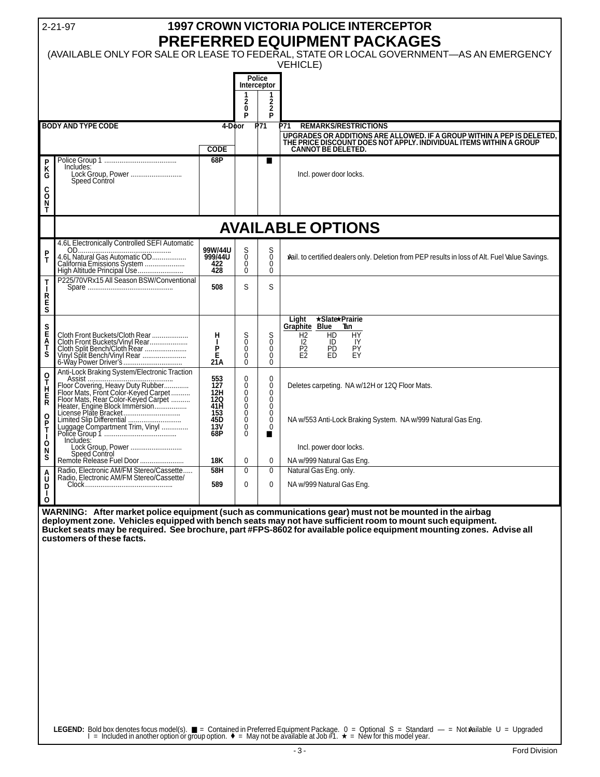|                                                                                                                                                          | <b>1997 CROWN VICTORIA POLICE INTERCEPTOR</b><br>$2 - 21 - 97$<br>PREFERRED EQUIPMENT PACKAGES<br>(AVAILABLE ONLY FOR SALE OR LEASE TO FEDERAL, STATE OR LOCAL GOVERNMENT-AS AN EMERGENCY<br><b>VEHICLE)</b>                                                                                |                                                |                                           |                                                                                                                                                                                                                                                      |  |  |  |  |  |
|----------------------------------------------------------------------------------------------------------------------------------------------------------|---------------------------------------------------------------------------------------------------------------------------------------------------------------------------------------------------------------------------------------------------------------------------------------------|------------------------------------------------|-------------------------------------------|------------------------------------------------------------------------------------------------------------------------------------------------------------------------------------------------------------------------------------------------------|--|--|--|--|--|
| Police<br>Interceptor<br>$\mathbf{2}$<br>2<br>0<br>$\mathbf{2}$                                                                                          |                                                                                                                                                                                                                                                                                             |                                                |                                           |                                                                                                                                                                                                                                                      |  |  |  |  |  |
|                                                                                                                                                          |                                                                                                                                                                                                                                                                                             |                                                |                                           | P71<br><b>REMARKS/RESTRICTIONS</b>                                                                                                                                                                                                                   |  |  |  |  |  |
|                                                                                                                                                          | <b>CODE</b>                                                                                                                                                                                                                                                                                 |                                                |                                           | UPGRADES OR ADDITIONS ARE ALLOWED. IF A GROUP WITHIN A PEP IS DELETED,<br>THE PRICE DISCOUNT DOES NOT APPLY. INDIVIDUAL ITEMS WITHIN A GROUP<br><b>CANNOT BE DELETED.</b>                                                                            |  |  |  |  |  |
| Includes:<br>Lock Group, Power<br>Speed Control                                                                                                          |                                                                                                                                                                                                                                                                                             |                                                | ■                                         | Incl. power door locks.                                                                                                                                                                                                                              |  |  |  |  |  |
| C<br>O<br>T<br><b>AVAILABLE OPTIONS</b>                                                                                                                  |                                                                                                                                                                                                                                                                                             |                                                |                                           |                                                                                                                                                                                                                                                      |  |  |  |  |  |
|                                                                                                                                                          |                                                                                                                                                                                                                                                                                             |                                                |                                           |                                                                                                                                                                                                                                                      |  |  |  |  |  |
| California Emissions System<br>High Altitude Principal Use                                                                                               | 99W/44U<br>999/44U<br>422<br>428                                                                                                                                                                                                                                                            | $^{\rm S}_{\rm 0}$<br>$\mathbf{0}$<br>$\Omega$ | $\frac{S}{0}$<br>$\mathbf{0}$<br>$\Omega$ | wail. to certified dealers only. Deletion from PEP results in loss of Alt. Fuel Value Savings.                                                                                                                                                       |  |  |  |  |  |
|                                                                                                                                                          | 508                                                                                                                                                                                                                                                                                         | S                                              | S                                         |                                                                                                                                                                                                                                                      |  |  |  |  |  |
| Cloth Front Buckets/Cloth Rear<br>Cloth Front Buckets/Vinyl Rear<br>Cloth Split Bench/Cloth Rear<br>Vinyl Split Bench/Vinyl Rear<br>6-Way Power Driver's | н<br>П<br>P<br>$\frac{\dot{E}}{21A}$                                                                                                                                                                                                                                                        | S<br>0<br>$\mathbf 0$<br>0<br>Ō                | S<br>0<br>0<br>0<br>Ō                     | ★Slate★Prairie<br>Light<br>Graphite Blue<br>-Tan<br><b>HY</b><br>H <sub>2</sub><br>HD<br>Ol<br>IY<br>$\overline{P_2}$<br>E2<br><b>PD</b><br>PY<br>ED<br>EY                                                                                           |  |  |  |  |  |
| Floor Covering, Heavy Duty Rubber<br>Floor Mats, Front Color-Keyed Carpet<br>Floor Mats, Rear Color-Keyed Carpet<br>Heater, Engine Block Immersion       | 553<br>127<br>12H<br>12Q<br>41H<br>153                                                                                                                                                                                                                                                      | 0<br>Ŏ<br>0<br>0<br>Ō<br>$\mathbf 0$           | 0<br>Ō<br>$\mathbf 0$<br>0<br>Ŏ<br>0      | Deletes carpeting. NA w/12H or 12Q Floor Mats.                                                                                                                                                                                                       |  |  |  |  |  |
|                                                                                                                                                          | 13V<br>68P                                                                                                                                                                                                                                                                                  | Ŏ<br>0                                         | 0                                         | NA w/553 Anti-Lock Braking System. NA w/999 Natural Gas Eng.                                                                                                                                                                                         |  |  |  |  |  |
| Lock Group. Power                                                                                                                                        |                                                                                                                                                                                                                                                                                             |                                                |                                           | Incl. power door locks.                                                                                                                                                                                                                              |  |  |  |  |  |
| Remote Release Fuel Door                                                                                                                                 | 18K                                                                                                                                                                                                                                                                                         | 0                                              | 0                                         | NA w/999 Natural Gas Eng.                                                                                                                                                                                                                            |  |  |  |  |  |
|                                                                                                                                                          | 589                                                                                                                                                                                                                                                                                         | 0                                              | 0                                         | Natural Gas Eng. only.<br>NA w/999 Natural Gas Eng.                                                                                                                                                                                                  |  |  |  |  |  |
| customers of these facts.                                                                                                                                |                                                                                                                                                                                                                                                                                             |                                                |                                           | Bucket seats may be required. See brochure, part #FPS-8602 for available police equipment mounting zones. Advise all                                                                                                                                 |  |  |  |  |  |
|                                                                                                                                                          | <b>BODY AND TYPE CODE</b><br>4.6L Electronically Controlled SEFI Automatic<br>P225/70VRx15 All Season BSW/Conventional<br>Anti-Lock Braking System/Electronic Traction<br>Includes:<br>Speed Control<br>Radio, Electronic AM/FM Stereo/Cassette<br>Radio, Electronic AM/FM Stereo/Cassette/ | 68P<br>45D<br>58H                              | P<br>4-Door<br>$\mathbf{0}$<br>0          | P<br>P71<br>$\mathbf{0}$<br>0<br>WARNING: After market police equipment (such as communications gear) must not be mounted in the airbag<br>deployment zone. Vehicles equipped with bench seats may not have sufficient room to mount such equipment. |  |  |  |  |  |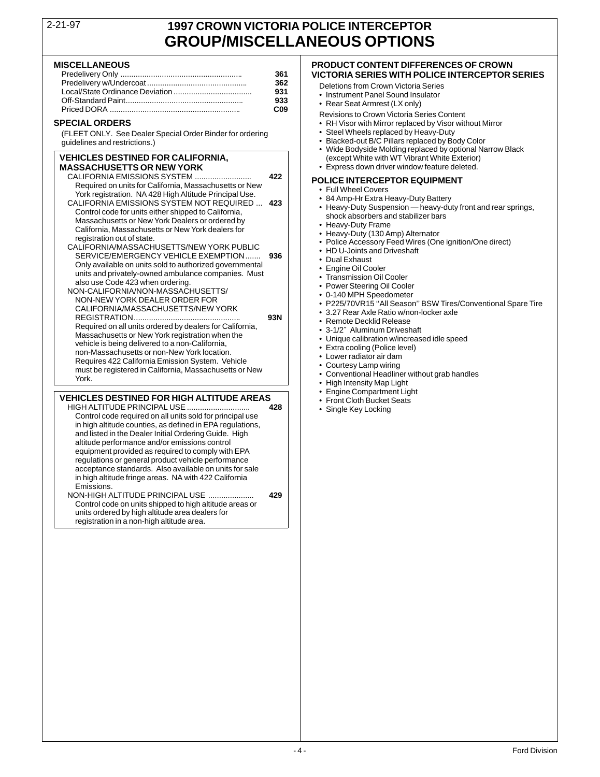## 2-21-97 **1997 CROWN VICTORIA POLICE INTERCEPTOR GROUP/MISCELLANEOUS OPTIONS**

| 361                                  | <b>VICTORIA SERIES WITH POLICE INTE</b>                                                                                                                          |
|--------------------------------------|------------------------------------------------------------------------------------------------------------------------------------------------------------------|
| 362<br>931<br>933<br>C <sub>09</sub> | Deletions from Crown Victoria Series<br>• Instrument Panel Sound Insulator<br>• Rear Seat Armrest (LX only)<br><b>Revisions to Crown Victoria Series Content</b> |
|                                      |                                                                                                                                                                  |

(FLEET ONLY. See Dealer Special Order Binder for ordering quidelines and restrictions.)

**VEHICLES DESTINED FOR CALIFORNIA,**  $\begin{array}{c} \textbf{(except White with WT Vibrant White Exterior)} \\ \textbf{MASKCHUSETTS OR NEW YORK} \end{array}$ **MASSACHUSETTS OR NEW YORK** • Express down driver window feature deleted. CALIFORNIA EMISSIONS SYSTEM (And An An America Cover and the Cover and NATA HOME CALIFORNIA (NATA HOME CALIFORNIA MSSIONS SYSTEM INOTICE ASSACT A CALIFORNIA MSSIONS OF THE CALIFORNIA MSSIONS OF THE CALIFORNIA MSSION SYSTE

# • Engine Compartment Light **VEHICLES DESTINED FOR HIGH ALTITUDE AREAS** • Front Cloth Bucket Seats

Control code required on all units sold for principal use in high altitude counties, as defined in EPA regulations, and listed in the Dealer Initial Ordering Guide. High altitude performance and/or emissions control equipment provided as required to comply with EPA regulations or general product vehicle performance acceptance standards. Also available on units for sale in high altitude fringe areas. NA with 422 California **Emissions** 

NON-HIGH ALTITUDE PRINCIPAL USE ..................... **429** Control code on units shipped to high altitude areas or units ordered by high altitude area dealers for registration in a non-high altitude area.

## **MISCELLANEOUS PRODUCT CONTENT DIFFERENCES OF CROWN** Predelivery Only ........................................................ **361 VICTORIA SERIES WITH POLICE INTERCEPTOR SERIES**

- 
- 
- 
- 
- **SPECIAL ORDERS**<br>
FILEFT ONLY See Dealer Special Order Binder for ordering<br>
FILEFT ONLY See Dealer Special Order Binder for ordering<br>
Steel Wheels replaced by Heavy-Duty
	-
	- Blacked-out B/C Pillars replaced by Body Color
	- Wide Bodyside Molding replaced by optional Narrow Black
	-

- 
- 
- 
- 
- 
- 
- 
- 
- 
- 
- 
- 
- 
- 
- 
- 
- 
- 
- 
- 
- 
- 
- 
- 
-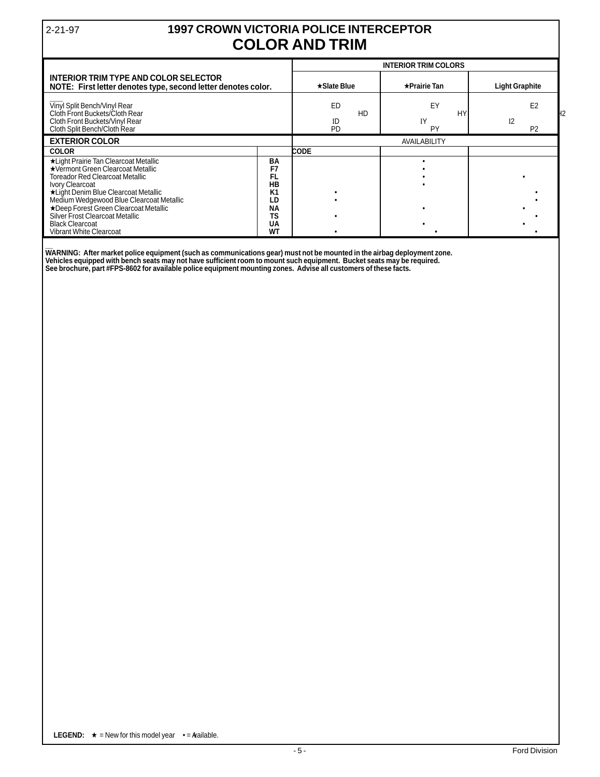## 2-21-97 **1997 CROWN VICTORIA POLICE INTERCEPTOR COLOR AND TRIM**

|                                                                                                                                                                                                                                                                                                                                                                     |                                                                                           | <b>INTERIOR TRIM COLORS</b> |                       |                                                    |  |
|---------------------------------------------------------------------------------------------------------------------------------------------------------------------------------------------------------------------------------------------------------------------------------------------------------------------------------------------------------------------|-------------------------------------------------------------------------------------------|-----------------------------|-----------------------|----------------------------------------------------|--|
| <b>INTERIOR TRIM TYPE AND COLOR SELECTOR</b><br>NOTE: First letter denotes type, second letter denotes color.                                                                                                                                                                                                                                                       | $\star$ Slate Blue                                                                        | $\star$ Prairie Tan         | <b>Light Graphite</b> |                                                    |  |
| Vinyl Split Bench/Vinyl Rear<br>Cloth Front Buckets/Cloth Rear<br>Cloth Front Buckets/Vinyl Rear<br>Cloth Split Bench/Cloth Rear                                                                                                                                                                                                                                    |                                                                                           | ED<br>HD<br>ID<br><b>PD</b> | EY<br>HY.<br>IY<br>PY | E <sub>2</sub><br>I <sub>2</sub><br>P <sub>2</sub> |  |
| <b>EXTERIOR COLOR</b>                                                                                                                                                                                                                                                                                                                                               | AVAILABILITY                                                                              |                             |                       |                                                    |  |
| <b>COLOR</b>                                                                                                                                                                                                                                                                                                                                                        |                                                                                           | <b>CODE</b>                 |                       |                                                    |  |
| *Light Prairie Tan Clearcoat Metallic<br>★Vermont Green Clearcoat Metallic<br><b>Toreador Red Clearcoat Metallic</b><br>Ivory Clearcoat<br>*Light Denim Blue Clearcoat Metallic<br>Medium Wedgewood Blue Clearcoat Metallic<br>★Deep Forest Green Clearcoat Metallic<br>Silver Frost Clearcoat Metallic<br><b>Black Clearcoat</b><br><b>Vibrant White Clearcoat</b> | BA<br>F7<br>FL<br><b>HB</b><br>K <sub>1</sub><br>LD<br><b>NA</b><br><b>TS</b><br>UA<br>WΤ |                             |                       |                                                    |  |

**\_\_ WARNING: After market police equipment (such as communications gear) must not be mounted in the airbag deployment zone. Vehicles equipped with bench seats may not have sufficient room to mount such equipment. Bucket seats may be required. See brochure, part #FPS-8602 for available police equipment mounting zones. Advise all customers of these facts.**